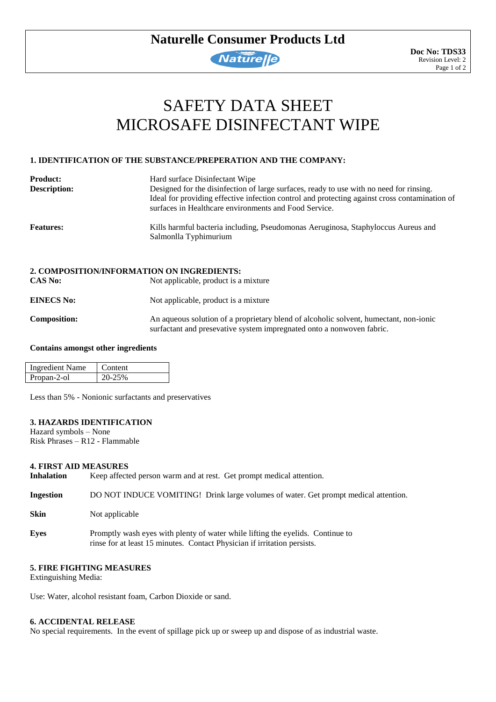# **Naturelle Consumer Products Ltd**

# **Naturelle**

# SAFETY DATA SHEET MICROSAFE DISINFECTANT WIPE

# **1. IDENTIFICATION OF THE SUBSTANCE/PREPERATION AND THE COMPANY:**

| <b>Product:</b>     | Hard surface Disinfectant Wipe                                                                                                                         |  |  |  |  |
|---------------------|--------------------------------------------------------------------------------------------------------------------------------------------------------|--|--|--|--|
| <b>Description:</b> | Designed for the disinfection of large surfaces, ready to use with no need for rinsing.                                                                |  |  |  |  |
|                     | Ideal for providing effective infection control and protecting against cross contamination of<br>surfaces in Healthcare environments and Food Service. |  |  |  |  |
| <b>Features:</b>    | Kills harmful bacteria including, Pseudomonas Aeruginosa, Staphyloccus Aureus and<br>Salmonlla Typhimurium                                             |  |  |  |  |
|                     | 2. COMPOSITION/INFORMATION ON INGREDIENTS:                                                                                                             |  |  |  |  |
| <b>CAS No:</b>      | Not applicable, product is a mixture                                                                                                                   |  |  |  |  |
| <b>EINECS No:</b>   | Not applicable, product is a mixture.                                                                                                                  |  |  |  |  |

**Composition:** An aqueous solution of a proprietary blend of alcoholic solvent, humectant, non-ionic surfactant and presevative system impregnated onto a nonwoven fabric.

#### **Contains amongst other ingredients**

| Ingredient Name | Content |
|-----------------|---------|
| Propan-2-ol     |         |

Less than 5% - Nonionic surfactants and preservatives

# **3. HAZARDS IDENTIFICATION**

Hazard symbols – None Risk Phrases – R12 - Flammable

# **4. FIRST AID MEASURES**

**Inhalation** Keep affected person warm and at rest. Get prompt medical attention.

**Ingestion** DO NOT INDUCE VOMITING! Drink large volumes of water. Get prompt medical attention.

- **Skin** Not applicable
- **Eyes** Promptly wash eyes with plenty of water while lifting the eyelids. Continue to rinse for at least 15 minutes. Contact Physician if irritation persists.

# **5. FIRE FIGHTING MEASURES**

Extinguishing Media:

Use: Water, alcohol resistant foam, Carbon Dioxide or sand.

# **6. ACCIDENTAL RELEASE**

No special requirements. In the event of spillage pick up or sweep up and dispose of as industrial waste.